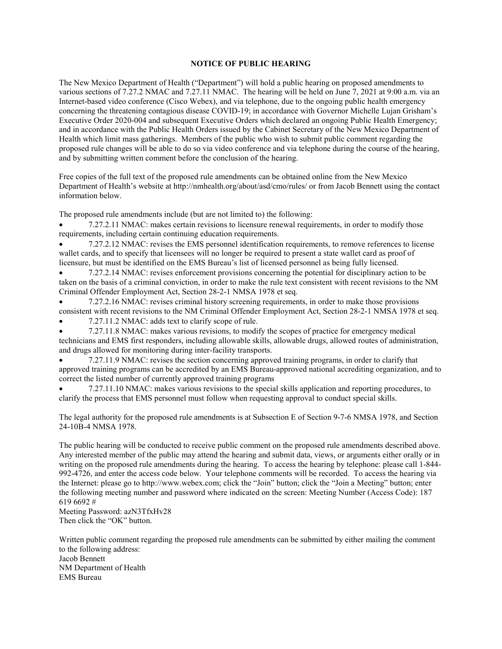## **NOTICE OF PUBLIC HEARING**

The New Mexico Department of Health ("Department") will hold a public hearing on proposed amendments to various sections of 7.27.2 NMAC and 7.27.11 NMAC. The hearing will be held on June 7, 2021 at 9:00 a.m. via an Internet-based video conference (Cisco Webex), and via telephone, due to the ongoing public health emergency concerning the threatening contagious disease COVID-19; in accordance with Governor Michelle Lujan Grisham's Executive Order 2020-004 and subsequent Executive Orders which declared an ongoing Public Health Emergency; and in accordance with the Public Health Orders issued by the Cabinet Secretary of the New Mexico Department of Health which limit mass gatherings. Members of the public who wish to submit public comment regarding the proposed rule changes will be able to do so via video conference and via telephone during the course of the hearing, and by submitting written comment before the conclusion of the hearing.

Free copies of the full text of the proposed rule amendments can be obtained online from the New Mexico Department of Health's website at http://nmhealth.org/about/asd/cmo/rules/ or from Jacob Bennett using the contact information below.

The proposed rule amendments include (but are not limited to) the following:

• 7.27.2.11 NMAC: makes certain revisions to licensure renewal requirements, in order to modify those requirements, including certain continuing education requirements.

• 7.27.2.12 NMAC: revises the EMS personnel identification requirements, to remove references to license wallet cards, and to specify that licensees will no longer be required to present a state wallet card as proof of licensure, but must be identified on the EMS Bureau's list of licensed personnel as being fully licensed.

• 7.27.2.14 NMAC: revises enforcement provisions concerning the potential for disciplinary action to be taken on the basis of a criminal conviction, in order to make the rule text consistent with recent revisions to the NM Criminal Offender Employment Act, Section 28-2-1 NMSA 1978 et seq.

• 7.27.2.16 NMAC: revises criminal history screening requirements, in order to make those provisions consistent with recent revisions to the NM Criminal Offender Employment Act, Section 28-2-1 NMSA 1978 et seq. • 7.27.11.2 NMAC: adds text to clarify scope of rule.

• 7.27.11.8 NMAC: makes various revisions, to modify the scopes of practice for emergency medical technicians and EMS first responders, including allowable skills, allowable drugs, allowed routes of administration, and drugs allowed for monitoring during inter-facility transports.

• 7.27.11.9 NMAC: revises the section concerning approved training programs, in order to clarify that approved training programs can be accredited by an EMS Bureau-approved national accrediting organization, and to correct the listed number of currently approved training programs

• 7.27.11.10 NMAC: makes various revisions to the special skills application and reporting procedures, to clarify the process that EMS personnel must follow when requesting approval to conduct special skills.

The legal authority for the proposed rule amendments is at Subsection E of Section 9-7-6 NMSA 1978, and Section 24-10B-4 NMSA 1978.

The public hearing will be conducted to receive public comment on the proposed rule amendments described above. Any interested member of the public may attend the hearing and submit data, views, or arguments either orally or in writing on the proposed rule amendments during the hearing. To access the hearing by telephone: please call 1-844- 992-4726, and enter the access code below. Your telephone comments will be recorded. To access the hearing via the Internet: please go to http://www.webex.com; click the "Join" button; click the "Join a Meeting" button; enter the following meeting number and password where indicated on the screen: Meeting Number (Access Code): 187 619 6692 #

Meeting Password: azN3TfxHv28 Then click the "OK" button.

Written public comment regarding the proposed rule amendments can be submitted by either mailing the comment to the following address: Jacob Bennett NM Department of Health EMS Bureau